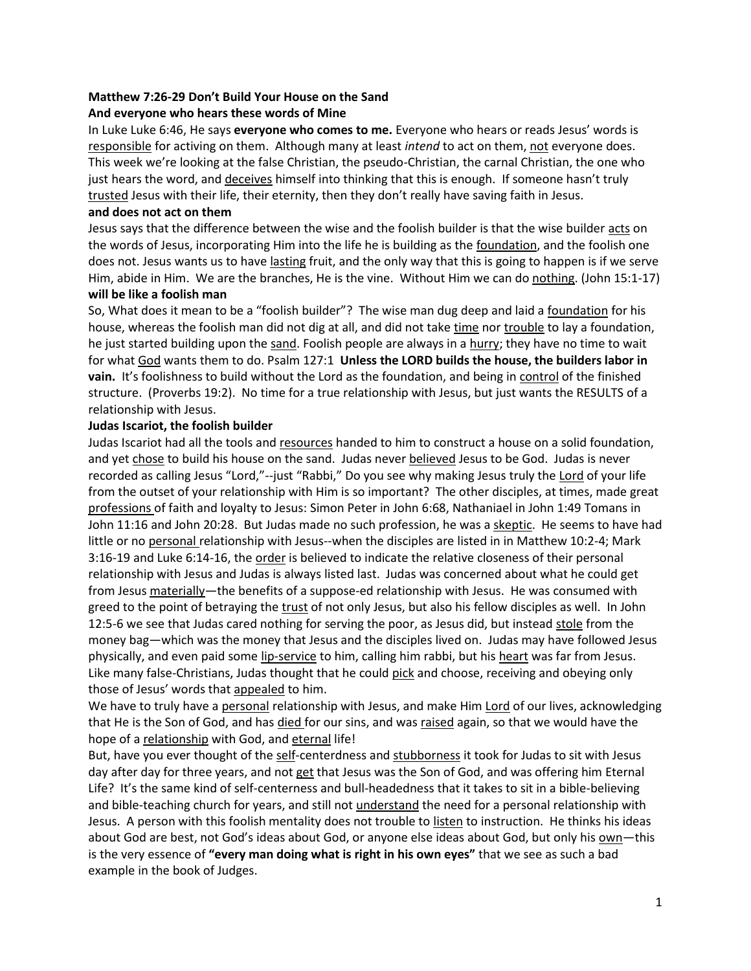# **Matthew 7:26-29 Don't Build Your House on the Sand**

## **And everyone who hears these words of Mine**

In Luke Luke 6:46, He says **everyone who comes to me.** Everyone who hears or reads Jesus' words is responsible for activing on them. Although many at least *intend* to act on them, not everyone does. This week we're looking at the false Christian, the pseudo-Christian, the carnal Christian, the one who just hears the word, and deceives himself into thinking that this is enough. If someone hasn't truly trusted Jesus with their life, their eternity, then they don't really have saving faith in Jesus.

## **and does not act on them**

Jesus says that the difference between the wise and the foolish builder is that the wise builder acts on the words of Jesus, incorporating Him into the life he is building as the foundation, and the foolish one does not. Jesus wants us to have lasting fruit, and the only way that this is going to happen is if we serve Him, abide in Him. We are the branches, He is the vine. Without Him we can do nothing. (John 15:1-17) **will be like a foolish man**

So, What does it mean to be a "foolish builder"? The wise man dug deep and laid a foundation for his house, whereas the foolish man did not dig at all, and did not take time nor trouble to lay a foundation, he just started building upon the sand. Foolish people are always in a hurry; they have no time to wait for what God wants them to do. Psalm 127:1 **Unless the LORD builds the house, the builders labor in vain.** It's foolishness to build without the Lord as the foundation, and being in control of the finished structure. (Proverbs 19:2). No time for a true relationship with Jesus, but just wants the RESULTS of a relationship with Jesus.

## **Judas Iscariot, the foolish builder**

Judas Iscariot had all the tools and resources handed to him to construct a house on a solid foundation, and yet chose to build his house on the sand. Judas never believed Jesus to be God. Judas is never recorded as calling Jesus "Lord,"--just "Rabbi," Do you see why making Jesus truly the Lord of your life from the outset of your relationship with Him is so important? The other disciples, at times, made great professions of faith and loyalty to Jesus: Simon Peter in John 6:68, Nathaniael in John 1:49 Tomans in John 11:16 and John 20:28. But Judas made no such profession, he was a skeptic. He seems to have had little or no personal relationship with Jesus--when the disciples are listed in in Matthew 10:2-4; Mark 3:16-19 and Luke 6:14-16, the order is believed to indicate the relative closeness of their personal relationship with Jesus and Judas is always listed last. Judas was concerned about what he could get from Jesus materially—the benefits of a suppose-ed relationship with Jesus. He was consumed with greed to the point of betraying the trust of not only Jesus, but also his fellow disciples as well. In John 12:5-6 we see that Judas cared nothing for serving the poor, as Jesus did, but instead stole from the money bag—which was the money that Jesus and the disciples lived on. Judas may have followed Jesus physically, and even paid some lip-service to him, calling him rabbi, but his heart was far from Jesus. Like many false-Christians, Judas thought that he could pick and choose, receiving and obeying only those of Jesus' words that appealed to him.

We have to truly have a personal relationship with Jesus, and make Him Lord of our lives, acknowledging that He is the Son of God, and has died for our sins, and was raised again, so that we would have the hope of a relationship with God, and eternal life!

But, have you ever thought of the self-centerdness and stubborness it took for Judas to sit with Jesus day after day for three years, and not get that Jesus was the Son of God, and was offering him Eternal Life? It's the same kind of self-centerness and bull-headedness that it takes to sit in a bible-believing and bible-teaching church for years, and still not understand the need for a personal relationship with Jesus. A person with this foolish mentality does not trouble to listen to instruction. He thinks his ideas about God are best, not God's ideas about God, or anyone else ideas about God, but only his own—this is the very essence of **"every man doing what is right in his own eyes"** that we see as such a bad example in the book of Judges.